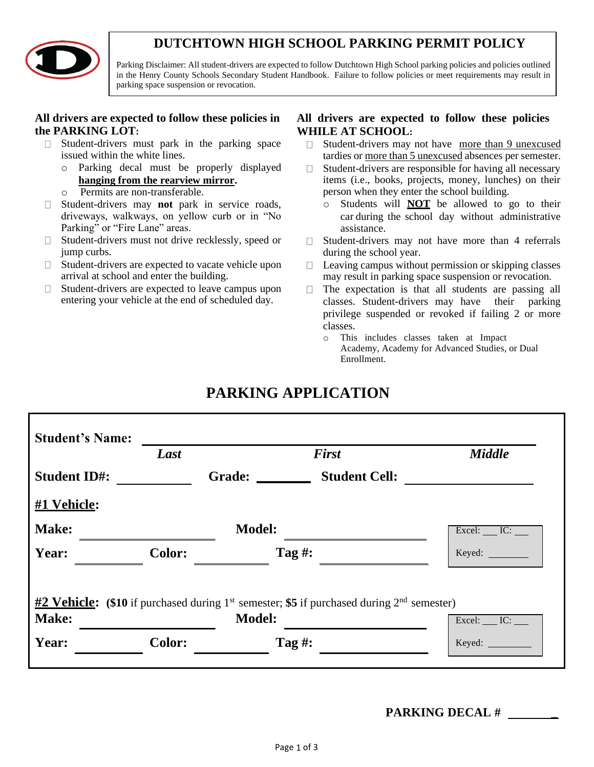## **DUTCHTOWN HIGH SCHOOL PARKING PERMIT POLICY**



Parking Disclaimer: All student-drivers are expected to follow Dutchtown High School parking policies and policies outlined in the Henry County Schools Secondary Student Handbook. Failure to follow policies or meet requirements may result in parking space suspension or revocation.

### **All drivers are expected to follow these policies in the PARKING LOT:**

- Student-drivers must park in the parking space  $\Box$ issued within the white lines.
	- o Parking decal must be properly displayed **hanging from the rearview mirror.**
	- o Permits are non-transferable.
- Student-drivers may **not** park in service roads,  $\Box$ driveways, walkways, on yellow curb or in "No Parking" or "Fire Lane" areas.
- $\Box$  Student-drivers must not drive recklessly, speed or jump curbs.
- $\Box$  Student-drivers are expected to vacate vehicle upon arrival at school and enter the building.
- Student-drivers are expected to leave campus upon  $\Box$ entering your vehicle at the end of scheduled day.

### **All drivers are expected to follow these policies WHILE AT SCHOOL:**

- Student-drivers may not have more than 9 unexcused  $\Box$ tardies or more than 5 unexcused absences per semester.
- Student-drivers are responsible for having all necessary  $\Box$ items (i.e., books, projects, money, lunches) on their person when they enter the school building.
	- o Students will **NOT** be allowed to go to their car during the school day without administrative assistance.
- $\Box$  Student-drivers may not have more than 4 referrals during the school year.
- $\Box$ Leaving campus without permission or skipping classes may result in parking space suspension or revocation.
- The expectation is that all students are passing all  $\Box$ classes. Student-drivers may have their parking privilege suspended or revoked if failing 2 or more classes.
	- o This includes classes taken at Impact Academy, Academy for Advanced Studies, or Dual Enrollment.

|                                                                                                                                                                       | <b>Student's Name:</b> |               |                      |                                       |  |  |  |
|-----------------------------------------------------------------------------------------------------------------------------------------------------------------------|------------------------|---------------|----------------------|---------------------------------------|--|--|--|
|                                                                                                                                                                       | Last                   |               | <b>First</b>         | <b>Middle</b>                         |  |  |  |
| <b>Student ID#:</b>                                                                                                                                                   |                        | Grade:        | <b>Student Cell:</b> |                                       |  |  |  |
| #1 Vehicle:                                                                                                                                                           |                        |               |                      |                                       |  |  |  |
| Make:                                                                                                                                                                 |                        | <b>Model:</b> |                      | $\text{Excel:}\_\text{IC:}\_\text{C}$ |  |  |  |
| Year:                                                                                                                                                                 | <b>Color:</b>          | Tag #:        |                      | Keyed:                                |  |  |  |
|                                                                                                                                                                       |                        |               |                      |                                       |  |  |  |
| $\frac{\text{#2} \text{ Vehicle:}}{\text{#2} \text{ Vehicle:}}$ (\$10 if purchased during 1 <sup>st</sup> semester; \$5 if purchased during 2 <sup>nd</sup> semester) |                        |               |                      |                                       |  |  |  |
| Make:                                                                                                                                                                 |                        | <b>Model:</b> |                      | $\text{Excel:}\_\text{IC:}\_\text{C}$ |  |  |  |
| Year:                                                                                                                                                                 | <b>Color:</b>          | Tag #:        |                      |                                       |  |  |  |
|                                                                                                                                                                       |                        |               |                      |                                       |  |  |  |

## **PARKING DECAL # \_**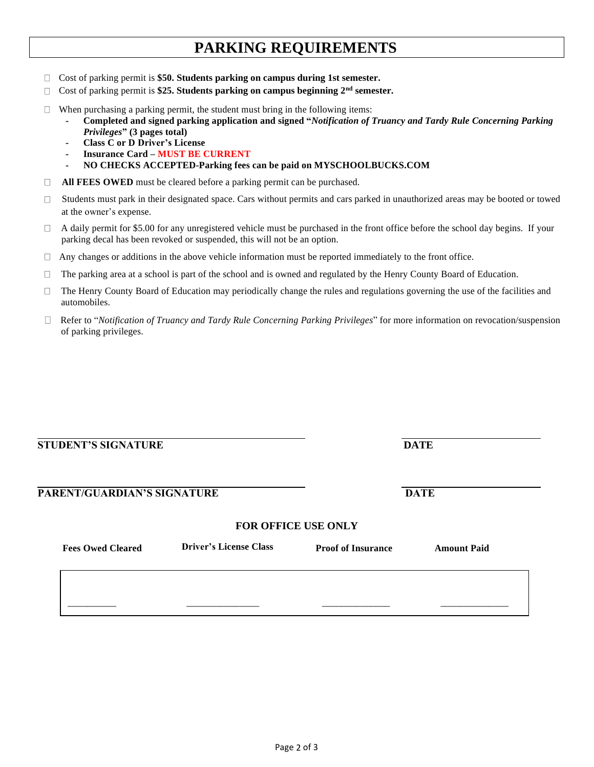# **PARKING REQUIREMENTS**

- □ Cost of parking permit is **\$50. Students parking on campus during 1st semester.**
- Cost of parking permit is **\$25. Students parking on campus beginning 2nd semester.**
- $\Box$  When purchasing a parking permit, the student must bring in the following items:
	- **Completed and signed parking application and signed "***Notification of Truancy and Tardy Rule Concerning Parking Privileges***" (3 pages total)**
		- **Class C or D Driver's License**
	- **Insurance Card – MUST BE CURRENT**
	- **NO CHECKS ACCEPTED-Parking fees can be paid on MYSCHOOLBUCKS.COM**
- **All FEES OWED** must be cleared before a parking permit can be purchased.
- $\Box$  Students must park in their designated space. Cars without permits and cars parked in unauthorized areas may be booted or towed at the owner's expense.
- A daily permit for \$5.00 for any unregistered vehicle must be purchased in the front office before the school day begins. If your  $\Box$ parking decal has been revoked or suspended, this will not be an option.
- $\Box$  Any changes or additions in the above vehicle information must be reported immediately to the front office.
- $\Box$ The parking area at a school is part of the school and is owned and regulated by the Henry County Board of Education.
- The Henry County Board of Education may periodically change the rules and regulations governing the use of the facilities and  $\Box$ automobiles.
- Refer to "*Notification of Truancy and Tardy Rule Concerning Parking Privileges*" for more information on revocation/suspension of parking privileges.

| <b>STUDENT'S SIGNATURE</b> | <b>DATE</b> |
|----------------------------|-------------|
|----------------------------|-------------|

#### **PARENT/GUARDIAN'S SIGNATURE DATE**

#### **FOR OFFICE USE ONLY**

| <b>Fees Owed Cleared</b> | <b>Driver's License Class</b> | <b>Proof of Insurance</b> | <b>Amount Paid</b> |
|--------------------------|-------------------------------|---------------------------|--------------------|
|                          |                               |                           |                    |
|                          |                               |                           |                    |